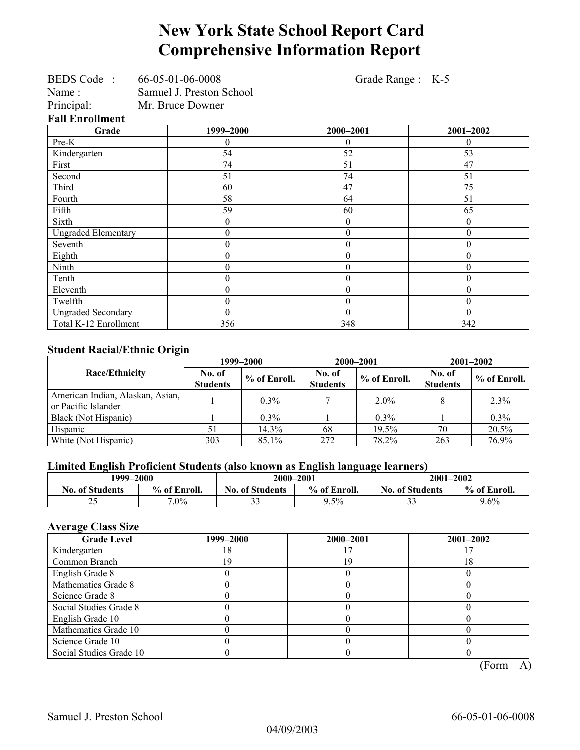# **New York State School Report Card Comprehensive Information Report**

|                            | BEDS Code: 66-05-01-06-0008 |                  | Grade Range : K-5 |
|----------------------------|-----------------------------|------------------|-------------------|
| Name:                      | Samuel J. Preston School    |                  |                   |
| Principal:                 | Mr. Bruce Downer            |                  |                   |
| <b>Fall Enrollment</b>     |                             |                  |                   |
| Grade                      | 1999-2000                   | 2000-2001        | 2001-2002         |
| Pre-K                      | 0                           | 0                | $\theta$          |
| Kindergarten               | 54                          | 52               | 53                |
| First                      | 74                          | 51               | 47                |
| Second                     | 51                          | 74               | 51                |
| Third                      | 60                          | 47               | 75                |
| Fourth                     | 58                          | 64               | 51                |
| Fifth                      | 59                          | 60               | 65                |
| Sixth                      | $\theta$                    | $\theta$         | $\theta$          |
| <b>Ungraded Elementary</b> | $\theta$                    | $\boldsymbol{0}$ | $\theta$          |
| Seventh                    | 0                           | $\theta$         | $\theta$          |
| Eighth                     | 0                           | $\boldsymbol{0}$ | $\theta$          |
| Ninth                      | $\theta$                    | $\boldsymbol{0}$ | $\theta$          |
| Tenth                      | 0                           | $\boldsymbol{0}$ | $\theta$          |
| Eleventh                   | $\boldsymbol{0}$            | $\boldsymbol{0}$ | $\theta$          |
| Twelfth                    | $\boldsymbol{0}$            | $\boldsymbol{0}$ | $\boldsymbol{0}$  |
| <b>Ungraded Secondary</b>  | 0                           | $\boldsymbol{0}$ | $\theta$          |
| Total K-12 Enrollment      | 356                         | 348              | 342               |

#### **Student Racial/Ethnic Origin**

|                                                         |                           | 1999–2000    |                           | 2000-2001    | $2001 - 2002$             |              |
|---------------------------------------------------------|---------------------------|--------------|---------------------------|--------------|---------------------------|--------------|
| Race/Ethnicity                                          | No. of<br><b>Students</b> | % of Enroll. | No. of<br><b>Students</b> | % of Enroll. | No. of<br><b>Students</b> | % of Enroll. |
| American Indian, Alaskan, Asian,<br>or Pacific Islander |                           | $0.3\%$      |                           | $2.0\%$      |                           | 2.3%         |
| Black (Not Hispanic)                                    |                           | $0.3\%$      |                           | $0.3\%$      |                           | $0.3\%$      |
| Hispanic                                                |                           | 14.3%        | 68                        | 19.5%        | 70                        | 20.5%        |
| White (Not Hispanic)                                    | 303                       | 85.1%        | 272                       | 78.2%        | 263                       | 76.9%        |

## **Limited English Proficient Students (also known as English language learners)**

| 1999–2000              |              | 2000-2001                              |      | 2001-2002              |              |
|------------------------|--------------|----------------------------------------|------|------------------------|--------------|
| <b>No. of Students</b> | % of Enroll. | % of Enroll.<br><b>No. of Students</b> |      | <b>No. of Students</b> | % of Enroll. |
| ∼                      | $7.0\%$      | n n<br>--                              | 9.5% | $\sim$<br>◡            | $9.6\%$      |

## **Average Class Size**

| <b>Grade Level</b>      | 1999–2000 | 2000-2001 | $2001 - 2002$ |
|-------------------------|-----------|-----------|---------------|
| Kindergarten            | 8         |           |               |
| Common Branch           | 19        | 1 C       | 18            |
| English Grade 8         |           |           |               |
| Mathematics Grade 8     |           |           |               |
| Science Grade 8         |           |           |               |
| Social Studies Grade 8  |           |           |               |
| English Grade 10        |           |           |               |
| Mathematics Grade 10    |           |           |               |
| Science Grade 10        |           |           |               |
| Social Studies Grade 10 |           |           | $\sqrt{ }$    |

 $(Form - A)$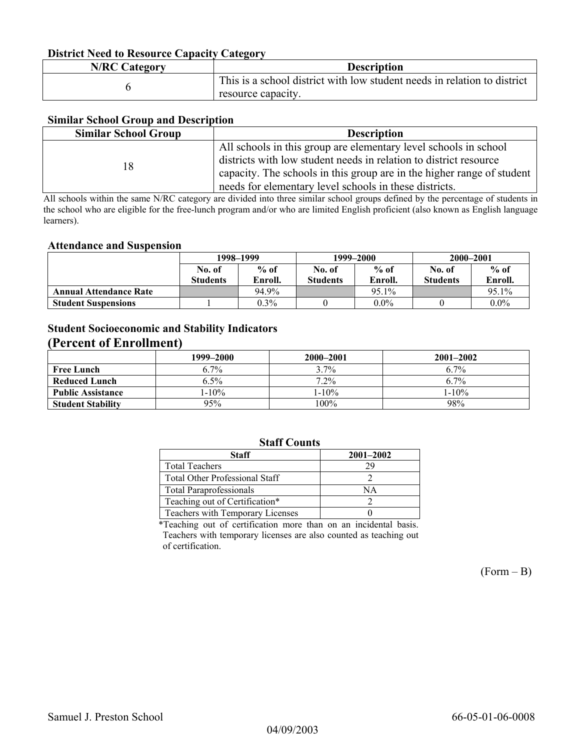#### **District Need to Resource Capacity Category**

| <b>N/RC Category</b> | <b>Description</b>                                                       |
|----------------------|--------------------------------------------------------------------------|
|                      | This is a school district with low student needs in relation to district |
|                      | resource capacity.                                                       |

#### **Similar School Group and Description**

| <b>Similar School Group</b> | <b>Description</b>                                                     |
|-----------------------------|------------------------------------------------------------------------|
|                             | All schools in this group are elementary level schools in school       |
| 18                          | districts with low student needs in relation to district resource      |
|                             | capacity. The schools in this group are in the higher range of student |
|                             | needs for elementary level schools in these districts.                 |

All schools within the same N/RC category are divided into three similar school groups defined by the percentage of students in the school who are eligible for the free-lunch program and/or who are limited English proficient (also known as English language learners).

#### **Attendance and Suspension**

|                               | 1998–1999       |         |                 | 1999–2000 | 2000-2001       |         |
|-------------------------------|-----------------|---------|-----------------|-----------|-----------------|---------|
|                               | No. of          | $%$ of  | No. of          | $%$ of    | No. of          | $%$ of  |
|                               | <b>Students</b> | Enroll. | <b>Students</b> | Enroll.   | <b>Students</b> | Enroll. |
| <b>Annual Attendance Rate</b> |                 | 94.9%   |                 | 95.1%     |                 | 95.1%   |
| <b>Student Suspensions</b>    |                 | $0.3\%$ |                 | $0.0\%$   |                 | $0.0\%$ |

## **Student Socioeconomic and Stability Indicators (Percent of Enrollment)**

|                          | 1999-2000 | 2000-2001  | $2001 - 2002$ |
|--------------------------|-----------|------------|---------------|
| <b>Free Lunch</b>        | $6.7\%$   | $3.7\%$    | 6.7%          |
| Reduced Lunch            | $6.5\%$   | $7.2\%$    | 6.7%          |
| <b>Public Assistance</b> | $1-10\%$  | $1 - 10\%$ | $1 - 10\%$    |
| <b>Student Stability</b> | 95%       | 100%       | 98%           |

### **Staff Counts**

| Staff                                 | $2001 - 2002$ |
|---------------------------------------|---------------|
| <b>Total Teachers</b>                 | 29            |
| <b>Total Other Professional Staff</b> |               |
| <b>Total Paraprofessionals</b>        | NΑ            |
| Teaching out of Certification*        |               |
| Teachers with Temporary Licenses      |               |

\*Teaching out of certification more than on an incidental basis. Teachers with temporary licenses are also counted as teaching out of certification.

 $(Form - B)$